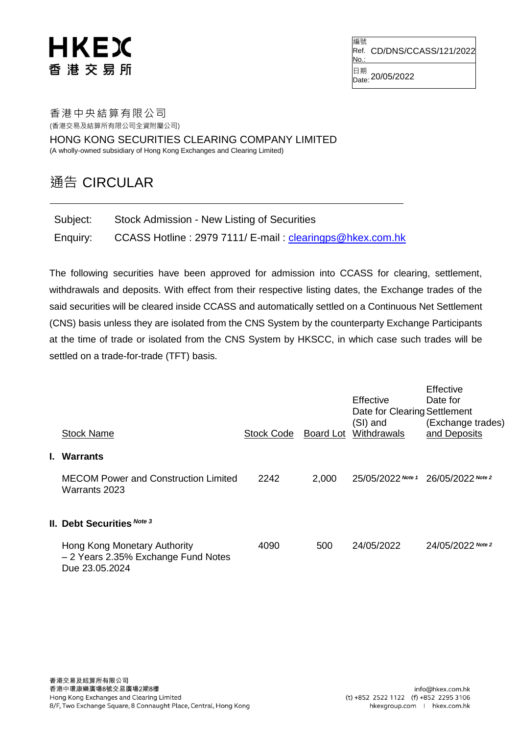## **HKEX** 香港交易所

編號 Ref. CD/DNS/CCASS/121/2022 No.:

日期<br><sub>Date:</sub> 20/05/2022

## 香港中央結算有限公司 (香港交易及結算所有限公司全資附屬公司)

HONG KONG SECURITIES CLEARING COMPANY LIMITED (A wholly-owned subsidiary of Hong Kong Exchanges and Clearing Limited)

## 通告 CIRCULAR

| Subject: | Stock Admission - New Listing of Securities              |
|----------|----------------------------------------------------------|
| Enquiry: | CCASS Hotline: 2979 7111/ E-mail: clearingps@hkex.com.hk |

The following securities have been approved for admission into CCASS for clearing, settlement, withdrawals and deposits. With effect from their respective listing dates, the Exchange trades of the said securities will be cleared inside CCASS and automatically settled on a Continuous Net Settlement (CNS) basis unless they are isolated from the CNS System by the counterparty Exchange Participants at the time of trade or isolated from the CNS System by HKSCC, in which case such trades will be settled on a trade-for-trade (TFT) basis.

|             | <b>Stock Name</b>                                                                     | <b>Stock Code</b> | Board Lot | Effective<br>Date for Clearing Settlement<br>(SI) and<br>Withdrawals | Effective<br>Date for<br>(Exchange trades)<br>and Deposits |  |  |
|-------------|---------------------------------------------------------------------------------------|-------------------|-----------|----------------------------------------------------------------------|------------------------------------------------------------|--|--|
| I. Warrants |                                                                                       |                   |           |                                                                      |                                                            |  |  |
|             | <b>MECOM Power and Construction Limited</b><br>Warrants 2023                          | 2242              | 2,000     | 25/05/2022 Note 1                                                    | 26/05/2022 Note 2                                          |  |  |
|             | II. Debt Securities Note 3                                                            |                   |           |                                                                      |                                                            |  |  |
|             | Hong Kong Monetary Authority<br>- 2 Years 2.35% Exchange Fund Notes<br>Due 23.05.2024 | 4090              | 500       | 24/05/2022                                                           | 24/05/2022 Note 2                                          |  |  |